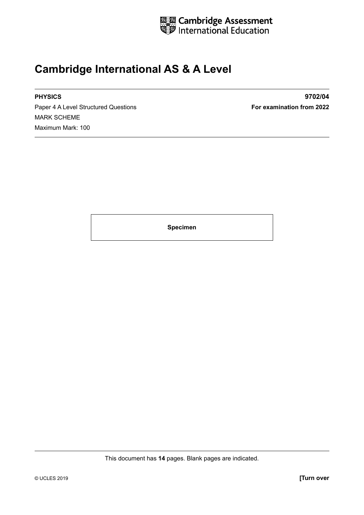

#### **Cambridge International AS & A Level**

Paper 4 A Level Structured Questions **For examination from 2022** MARK SCHEME Maximum Mark: 100

**PHYSICS 9702/04**

**Specimen**

This document has **14** pages. Blank pages are indicated.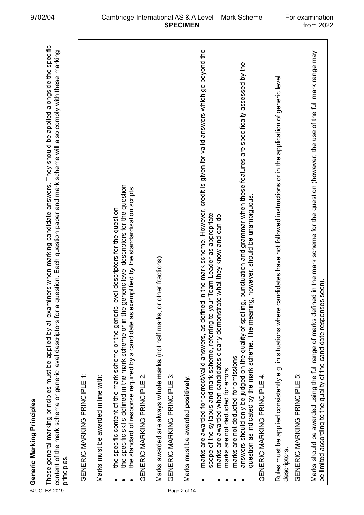| These general marking principles must be applied by all examiners when marking candidate answers. They should be applied alongside the specific<br>a question. Each question paper and mark scheme will also comply with these marking<br>content of the mark scheme or generic level descriptors for<br>⊚ Generic Marking Principles<br>E These general marking principl<br>≌ content of the mark scheme or<br>≌ <sub>crinciples</sub><br>principles. |  |
|--------------------------------------------------------------------------------------------------------------------------------------------------------------------------------------------------------------------------------------------------------------------------------------------------------------------------------------------------------------------------------------------------------------------------------------------------------|--|
| GENERIC MARKING PRINCIPLE 1:                                                                                                                                                                                                                                                                                                                                                                                                                           |  |
| Marks must be awarded in line with:                                                                                                                                                                                                                                                                                                                                                                                                                    |  |
| the specific skills defined in the mark scheme or in the generic level descriptors for the question<br>exemplified by the standardisation scripts.<br>the specific content of the mark scheme or the generic level descriptors for the question<br>the standard of response required by a candidate as                                                                                                                                                 |  |
| GENERIC MARKING PRINCIPLE 2:                                                                                                                                                                                                                                                                                                                                                                                                                           |  |
| or other fractions).<br>Marks awarded are always whole marks (not half marks,                                                                                                                                                                                                                                                                                                                                                                          |  |
| GENERIC MARKING PRINCIPLE 3:                                                                                                                                                                                                                                                                                                                                                                                                                           |  |
| Marks must be awarded positively:<br>Page 2 of 14                                                                                                                                                                                                                                                                                                                                                                                                      |  |
| ed in the mark scheme. However, credit is given for valid answers which go beyond the<br>scope of the syllabus and mark scheme, referring to your Team Leader as appropriate<br>marks are awarded when candidates clearly demonstrate what they know and can do<br>marks are awarded for correct/valid answers, as defin                                                                                                                               |  |
| answers should only be judged on the quality of spelling, punctuation and grammar when these features are specifically assessed by the<br>question as indicated by the mark scheme. The meaning, however, should be unambiguous.<br>marks are not deducted for omissions<br>marks are not deducted for errors                                                                                                                                          |  |
| GENERIC MARKING PRINCIPLE 4:                                                                                                                                                                                                                                                                                                                                                                                                                           |  |
| Rules must be applied consistently e.g. in situations where candidates have not followed instructions or in the application of generic level<br>descriptors.                                                                                                                                                                                                                                                                                           |  |
| GENERIC MARKING PRINCIPLE 5:                                                                                                                                                                                                                                                                                                                                                                                                                           |  |
| Marks should be awarded using the full range of marks defined in the mark scheme for the question (however; the use of the full mark range may<br>be limited according to the quality of the candidate responses seen).                                                                                                                                                                                                                                |  |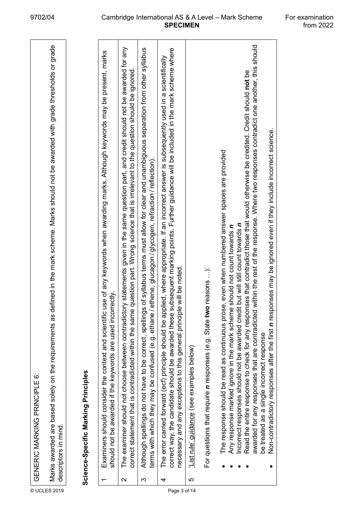|              |        | GENERIC MARKING PRINCIPLE 6:                                                                                                                                                                                                                                                                                                                                                                                                                                                                                                                                                                                                                                                                                        |
|--------------|--------|---------------------------------------------------------------------------------------------------------------------------------------------------------------------------------------------------------------------------------------------------------------------------------------------------------------------------------------------------------------------------------------------------------------------------------------------------------------------------------------------------------------------------------------------------------------------------------------------------------------------------------------------------------------------------------------------------------------------|
| © UCLES 2019 |        | defined in the mark scheme. Marks should not be awarded with grade thresholds or grade<br>Marks awarded are based solely on the requirements as<br>descriptors in mind.                                                                                                                                                                                                                                                                                                                                                                                                                                                                                                                                             |
|              |        | Science-Specific Marking Principles                                                                                                                                                                                                                                                                                                                                                                                                                                                                                                                                                                                                                                                                                 |
|              |        | Examiners should consider the context and scientific use of any keywords when awarding marks. Although keywords may be present, marks<br>should not be awarded if the keywords are used incorrectly.                                                                                                                                                                                                                                                                                                                                                                                                                                                                                                                |
|              | $\sim$ | The examiner should not choose between contradictory statements given in the same question part, and credit should not be awarded for any<br>e question part. Wrong science that is irrelevant to the question should be ignored.<br>correct statement that is contradicted within the sam                                                                                                                                                                                                                                                                                                                                                                                                                          |
|              | က      | Although spellings do not have to be correct, spellings of syllabus terms must allow for clear and unambiguous separation from other syllabus<br>terms with which they may be confused (e.g. ethane / ethene, glucagon / glycogen, refraction / reflection).                                                                                                                                                                                                                                                                                                                                                                                                                                                        |
| Page 3 of 14 | 4      | subsequent marking points. Further guidance will be included in the mark scheme where<br>The error carried forward (ecf) principle should be applied, where appropriate. If an incorrect answer is subsequently used in a scientifically<br>necessary and any exceptions to this general principle will be noted.<br>correct way, the candidate should be awarded these                                                                                                                                                                                                                                                                                                                                             |
|              | မာ     | List rule' guidance (see examples below)                                                                                                                                                                                                                                                                                                                                                                                                                                                                                                                                                                                                                                                                            |
|              |        | For questions that require <i>n</i> responses (e.g. State two reasons ):                                                                                                                                                                                                                                                                                                                                                                                                                                                                                                                                                                                                                                            |
|              |        | awarded for any responses that are contradicted within the rest of the response. Where two responses contradict one another, this should<br>Read the entire response to check for any responses that contradict those that would otherwise be credited. Credit should not be<br>Non-contradictory responses after the first n responses may be ignored even if they include incorrect science.<br>The response should be read as continuous prose, even when numbered answer spaces are provided<br>Incorrect responses should not be awarded credit but will still count towards n<br>Any response marked <i>ignore</i> in the mark scheme should not count towards n<br>be treated as a single incorrect response |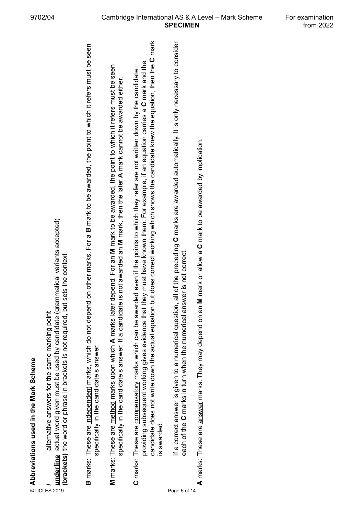e<br>Baranoviations used in the Mark Scheme<br>Baranoviations are also to the same practicalized (grammatical variants accepted)<br>Baranoviations are included a baranovic to the same of the context<br>Baranovic These are <u>included</u> m

**A** marks: These are answer marks. They may depend on an **M** mark or allow a **C** mark to be awarded by implication. marks: These are answer marks. They may depend on an M mark or allow a C mark to be awarded by implication. ⋖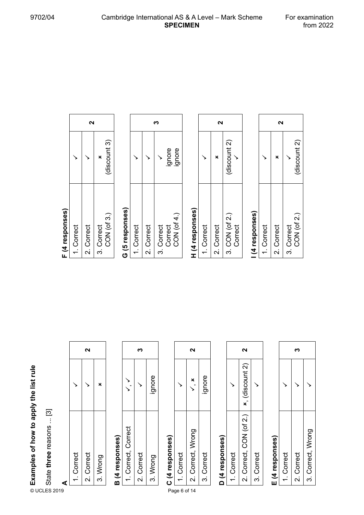#### **A**

| Examples of how to apply the list rule |                          |   |            | 2          |          |                 |                     | ო          |          |                 |              | 2                                         |
|----------------------------------------|--------------------------|---|------------|------------|----------|-----------------|---------------------|------------|----------|-----------------|--------------|-------------------------------------------|
|                                        |                          |   |            |            | ×        |                 |                     |            | ignore   |                 |              | ×                                         |
|                                        | State three reasons  [3] | ₫ | 1. Correct | 2. Correct | 3. Wrong | B (4 responses) | 1. Correct, Correct | 2. Correct | 3. Wrong | C (4 responses) | 1. Correct   | Correct, Wrong<br>$\overline{\mathbf{v}}$ |
|                                        | © UCLES 2019             |   |            |            |          |                 |                     |            |          |                 | Page 6 of 14 |                                           |

# **B (4 responses)**

|                  | m          |          |
|------------------|------------|----------|
|                  |            | gnore    |
| Correct, Correct | 2. Correct | 3. Wrong |

## **C (4 responses)**

|         | ี                 |            |
|---------|-------------------|------------|
|         |                   | ignore     |
| Correct | 2. Correct, Wrong | 3. Correct |

## D (4 responses) **D (4 responses)**

|         | N                       |            |
|---------|-------------------------|------------|
|         | <b>x</b> , (discount 2) |            |
| Correct | 2. Correct, CON (of 2.) | 3. Correct |

## E (4 responses) **E (4 responses)**

| Correct | 2. Correct | 3. Correct, Wrong |
|---------|------------|-------------------|

### F (4 responses) **F (4 responses)**

|         |            |            | discount 3)       |
|---------|------------|------------|-------------------|
| Correct | 2. Correct | 3. Correct | CON $($ of 3. $)$ |

## G (5 responses) **G (5 responses)**

|          |            |            | ignore  | gnore      |
|----------|------------|------------|---------|------------|
| .Correct | 2. Correct | 3. Correct | Correct | CON (of 4. |

## H (4 responses) **H (4 responses)**

|           | ี่         |                           |
|-----------|------------|---------------------------|
|           |            | (discount 2)              |
| . Correct | 2. Correct | 3. CON (of 2.)<br>Correct |

### (4 responses) **I (4 responses)**

| .Correct    |              |   |  |
|-------------|--------------|---|--|
| 2. Correct  |              | N |  |
| 3. Correct  |              |   |  |
| CON (of 2.) | (discount 2) |   |  |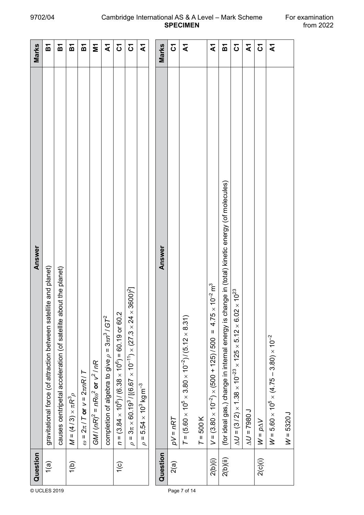| © UCLES 2019 | Question      | Answer                                                                                                                                         | Marks                   |
|--------------|---------------|------------------------------------------------------------------------------------------------------------------------------------------------|-------------------------|
|              | $\sqrt{a}$    | gravitational force (of attraction between satellite and planet)                                                                               | М                       |
|              |               | bout the planet)<br>causes centripetal acceleration (of satellite a                                                                            | 짇                       |
|              | 1(b)          | $M = (4/3) \times \pi R^3 \rho$                                                                                                                | 인                       |
|              |               | $\omega$ = $2\pi$ / T or $v$ = $2\pi nR$ / T                                                                                                   | 인                       |
|              |               | $GM/(nR)^2 = nR\omega^2$ or $v^2/nR$                                                                                                           | Σ                       |
|              |               | completion of algebra to give $\rho = 3\pi n^3 / G T^2$                                                                                        | $\mathbf{\Sigma}$       |
|              | $\frac{1}{2}$ | $n = (3.84 \times 10^8)/(6.38 \times 10^6) = 60.19$ or 60.2                                                                                    | δ                       |
|              |               | $\times$ 3600) <sup>2</sup> ]<br>$3\pi \times 60.19^3$ / [(6.67 $\times$ 10 <sup>-11</sup> ) $\times$ (27.3 $\times$ 24<br>$\sf H$<br>$\sigma$ | $\mathfrak{S}$          |
|              |               | $5.54 \times 10^3$ kg m $^{-3}$<br>$\rho =$                                                                                                    | $\overline{\mathbf{z}}$ |
|              |               |                                                                                                                                                |                         |
|              | Question      | Answer                                                                                                                                         | Marks                   |
|              | 2(a)          | $pV = nRT$                                                                                                                                     | $\mathfrak{S}$          |
| Page 7 of 14 |               | $T = (5.60 \times 10^5 \times 3.80 \times 10^{-2}) / (5.12 \times 8.31)$                                                                       | ২                       |
|              |               | $T = 500K$                                                                                                                                     |                         |
|              | 2(b)(i)       | $\times 10^{-2}$ m <sup>3</sup><br>4.75<br>$V = (3.80 \times 10^{-2}) \times (500 + 125) / 500 =$                                              | $\mathbf{\tilde{z}}$    |
|              | 2(b)(ii)      | (for ideal gas,) change in internal energy is change in (total) kinetic energy (of molecules)                                                  | 인                       |
|              |               | $\Delta U$ = (3/2) × 1.38 × 10 <sup>-23</sup> × 125 × 5.12 × 6.02 × 10 <sup>23</sup>                                                           | δ                       |
|              |               | $LO$ 862 = $\sqrt{V}$                                                                                                                          | হ                       |
|              | 2(c)(i)       | $W = p\Delta V$                                                                                                                                | δ                       |
|              |               | $W = 5.60 \times 10^5 \times (4.75 - 3.80) \times 10^{-2}$                                                                                     | $\mathbf{\tilde{z}}$    |
|              |               | $W = 5320 J$                                                                                                                                   |                         |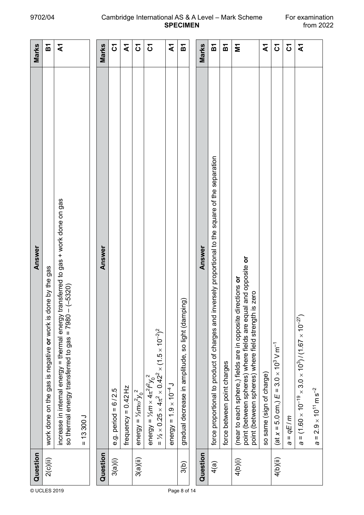#### 9702/04 Cambridge International AS & A Level – Mark Scheme For examination<br>from 2022 **SPECIMEN**

|              | Question | Answer                                                                                                                                                                                   | Marks                |
|--------------|----------|------------------------------------------------------------------------------------------------------------------------------------------------------------------------------------------|----------------------|
| © UCLES 2019 | 2(c)(ii) | done by the gas<br>work done on the gas is negative or work is                                                                                                                           | <u>ы</u>             |
|              |          | transferred to gas + work done on gas<br>$-(-5320)$<br>so thermal energy transferred to gas = 7980<br>increase in internal energy = thermal energy                                       | $\mathbf{\tilde{z}}$ |
|              |          | $= 13300 J$                                                                                                                                                                              |                      |
|              | Question | Answer                                                                                                                                                                                   | Marks                |
|              | 3(a)(i)  | e.g. period = $6/2.5$                                                                                                                                                                    | <u>ნ</u>             |
|              |          | frequency = $0.42$ Hz                                                                                                                                                                    | ২                    |
|              | 3(a)(ii) | energy = $\frac{1}{2} m \omega^2 y_0^2$                                                                                                                                                  | 5                    |
|              |          | = $\frac{1}{2} \times 0.25 \times 4\pi^2 \times 0.42^2 \times (1.5 \times 10^{-2})^2$<br>energy = $1/2m \times 4\pi^2 f^2 y_0^2$                                                         | δ                    |
|              |          | energy = $1.9 \times 10^{-4}$ J                                                                                                                                                          | ধ                    |
| Page 8 of 14 | 3(b)     | ping)<br>gradual decrease in amplitude, so light (dam                                                                                                                                    | ă                    |
|              |          |                                                                                                                                                                                          |                      |
|              | Question | Answer                                                                                                                                                                                   | Marks                |
|              | 4(a)     | inversely proportional to the square of the separation<br>force proportional to product of charges and                                                                                   | <b>PA</b>            |
|              |          | force between point charges                                                                                                                                                              | 인                    |
|              | 4(b)(i)  | point (between spheres) where fields are equal and opposite or<br>(near to each sphere,) fields are in opposite directions or<br>is zero<br>point (between spheres) where field strength | Σ                    |
|              |          | so same (sign of charge)                                                                                                                                                                 | হ                    |
|              | 4(b)(ii) | $(\text{at } x = 5.0 \text{ cm.}) E = 3.0 \times 10^3 \text{ V m}^{-1}$                                                                                                                  | δ                    |
|              |          | $= qE/m$<br>Ø                                                                                                                                                                            | δ                    |
|              |          | = $(1.60 \times 10^{-19} \times 3.0 \times 10^3)/(1.67 \times 10^{-27})$<br>Ø                                                                                                            | $\mathbf{\tilde{z}}$ |
|              |          | $2.9 \times 10^{11}$ m s <sup>-2</sup><br>$\sf H$<br>Ø                                                                                                                                   |                      |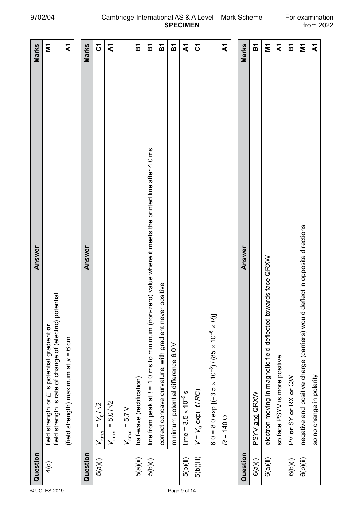#### 9702/04 Cambridge International AS & A Level – Mark Scheme For examination<br>from 2022 **SPECIMEN**

| Question                 | Answer                                                                                                      | Marks                   |
|--------------------------|-------------------------------------------------------------------------------------------------------------|-------------------------|
| 4(c)<br>© UCLES 2019     | field strength is rate of change of (electric) potential<br>field strength or E is potential gradient or    | Σ                       |
|                          | (field strength) maximum at $x = 6$ cm                                                                      | ২                       |
|                          |                                                                                                             |                         |
| Question                 | Answer                                                                                                      | Marks                   |
| 5(a)(i)                  | $V_{\rm rms.} = V_0 / \sqrt{2}$                                                                             | 5                       |
|                          | $V_{\rm rms.} = 8.01\sqrt{2}$                                                                               | $\mathbf{\bar{z}}$      |
|                          | $V_{\rm rms}$ = 5.7 V                                                                                       |                         |
| 5(a)(ii)                 | half-wave (rectification)                                                                                   | 짇                       |
| 5(b)(i)                  | -zero) value where it meets the printed line after 4.0 ms<br>line from peak at $t = 1.0$ ms to minimum (non | 瓦                       |
|                          | correct concave curvature, with gradient never positive                                                     | こと                      |
|                          | minimum potential difference 6.0 V                                                                          | 运                       |
| 5(b)(ii)<br>Page 9 of 14 | time = $3.5 \times 10^{-3}$ s                                                                               | $\mathbf{\bar{x}}$      |
| 5(b)(iii)                | $V = V_0 \exp(-t/RC)$                                                                                       | $\mathfrak{S}$          |
|                          | 6.0 = 8.0 exp $[(-3.5 \times 10^{-3})/(85 \times 10^{-6} \times R)]$                                        |                         |
|                          | $R = 140 \Omega$                                                                                            | $\overline{\mathbf{z}}$ |
|                          |                                                                                                             |                         |
| Question                 | Answer                                                                                                      | Marks                   |
| 6(a)(i)                  | PSYV and QRXW                                                                                               | ត                       |
| 6(a)(ii)                 | electron moving in magnetic field deflected towards face QRXW                                               | Ξ                       |
|                          | so face PSYV is more positive                                                                               | $\mathbf{\Sigma}$       |
| 6(b)(i)                  | PV or SY or RX or QW                                                                                        | Б                       |
| 6(b)(ii)                 | negative and positive charge (carriers) would deflect in opposite directions                                | Σ                       |
|                          | so no change in polarity                                                                                    | $\mathbf{\bar{x}}$      |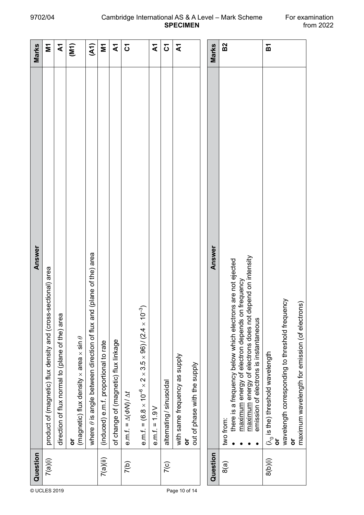| Marks    | Σ                                                             | ধ                                               | $\widetilde{N}$                                                  | (41)                                                                      | $\overline{\mathsf{M}}$               | $\mathbf{\tilde{z}}$                 | $\mathbf{S}$                       |                                                                                                                 | হ                | δ                        | হ                             |                                   | Marks    | B <sub>2</sub> |                                                                                                                    |                                                             |                                        | Б                                           |                                                 |                                                     |
|----------|---------------------------------------------------------------|-------------------------------------------------|------------------------------------------------------------------|---------------------------------------------------------------------------|---------------------------------------|--------------------------------------|------------------------------------|-----------------------------------------------------------------------------------------------------------------|------------------|--------------------------|-------------------------------|-----------------------------------|----------|----------------|--------------------------------------------------------------------------------------------------------------------|-------------------------------------------------------------|----------------------------------------|---------------------------------------------|-------------------------------------------------|-----------------------------------------------------|
| Answer   | product of (magnetic) flux density and (cross-sectional) area | direction of flux normal to (plane of the) area | (magnetic) flux density $\times$ area $\times$ sin $\theta$<br>ŏ | where $\theta$ is angle between direction of flux and (plane of the) area | (induced) e.m.f. proportional to rate | of change of (magnetic) flux linkage | e.m.f. = $\Delta(\Phi N)/\Delta t$ | e.m.f. = (6.8 $\times$ 10 <sup>-6</sup> $\times$ 2 $\times$ 3.5 $\times$ 96) / (2.4 $\times$ 10 <sup>-3</sup> ) | $e.m.f. = 1.9 V$ | alternating / sinusoidal | with same frequency as supply | out of phase with the supply<br>ㅎ | Answer   | two from:      | there is a frequency below which electrons are not ejected<br>n frequency<br>maximum energy of electron depends or | depend on intensity<br>maximum energy of electrons does not | emission of electrons is instantaneous | $(\lambda_{0}$ is the) threshold wavelength | wavelength corresponding to threshold frequency | maximum wavelength for emission (of electrons)<br>ō |
| Question | 7(a)(i)                                                       |                                                 |                                                                  |                                                                           | $7$ (a)(ii)                           |                                      | 7(b)                               |                                                                                                                 |                  | $7$ (c)                  |                               |                                   | Question | 8(a)           |                                                                                                                    |                                                             |                                        | 8(b)(i)                                     |                                                 |                                                     |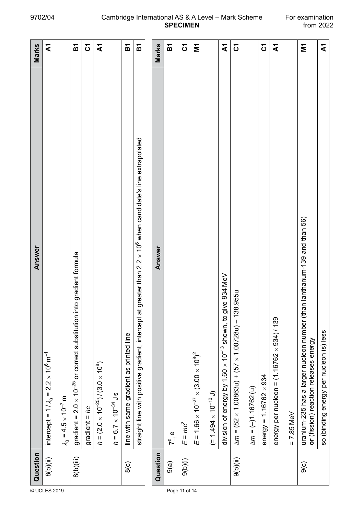|               | Question      | Answer                                                                                                                             | Marks                                       |
|---------------|---------------|------------------------------------------------------------------------------------------------------------------------------------|---------------------------------------------|
| © UCLES 2019  | 8(b)(ii)      | intercept = $1/\lambda_0 = 2.2 \times 10^6 \text{ m}^{-1}$                                                                         | ২                                           |
|               |               | $\lambda_0 = 4.5 \times 10^{-7}$ m                                                                                                 |                                             |
|               | 8(b)(iii)     | into gradient formula<br>gradient = $2.0 \times 10^{-25}$ or correct substitution                                                  | $\overline{\mathbf{b}}$                     |
|               |               | gradient = $hc$                                                                                                                    | $\mathfrak{S}% _{A}^{\ast}(\mathbb{R}^{N})$ |
|               |               | $h = (2.0 \times 10^{-25}) / (3.0 \times 10^8)$                                                                                    | ২                                           |
|               |               | $h = 6.7 \times 10^{-34}$ Js                                                                                                       |                                             |
|               | 8(c)          | line with same gradient as printed line                                                                                            | という                                         |
|               |               | $\times$ 10 <sup>6</sup> when candidate's line extrapolated<br>straight line with positive gradient, intercept at greater than 2.2 | る                                           |
|               |               |                                                                                                                                    |                                             |
|               | Question      | Answer                                                                                                                             | Marks                                       |
| Page 11 of 14 | 9(a)          | $7^0$ e                                                                                                                            | 运                                           |
|               | Q(b)(i)       | $E = mc^2$                                                                                                                         | <u>δ</u>                                    |
|               |               | $E = 1.66 \times 10^{-27} \times (3.00 \times 10^8)^2$                                                                             | Σ                                           |
|               |               | $(1.0^{10} + 1.494 \times 10^{-10} )$                                                                                              |                                             |
|               |               | division of energy by 1.60 x 10 <sup>-13</sup> shown, to give 934 MeV                                                              | $\mathbf{\tilde{z}}$                        |
|               | $(i)$ $(i)$   | $\Delta m = (82 \times 1.00863u) + (57 \times 1.00728u) - 138.955u$                                                                | $\mathfrak{S}$                              |
|               |               | $\Delta m = (-11.16762)$ (u)                                                                                                       |                                             |
|               |               | energy = $1.16762 \times 934$                                                                                                      | $\mathfrak{S}$                              |
|               |               | energy per nucleon = $(1.16762 \times 934)/139$                                                                                    | $\mathbf{\Sigma}$                           |
|               |               | $= 7.85$ MeV                                                                                                                       |                                             |
|               | $\frac{1}{9}$ | uranium-235 has a larger nucleon number (than lanthanum-139 and than 56)<br>or (fission) reaction releases energy                  | Σ                                           |
|               |               | so (binding energy per nucleon is) less                                                                                            | $\mathbf{\bar{x}}$                          |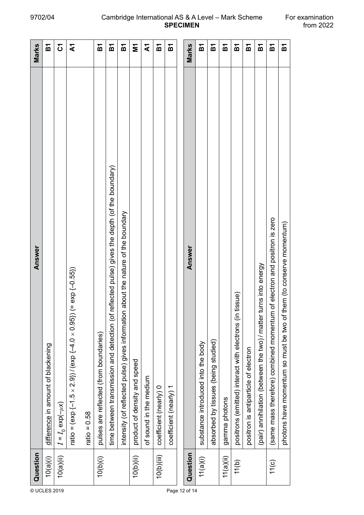| 瓦<br>Marks<br>$\mathfrak{S}$<br>$\mathbf{\tilde{z}}$<br>Σ<br>২<br><b>PA</b><br>という<br>인<br><b>PA</b><br>瓦<br>瓦<br>という<br>짇<br>こと<br>인<br>运<br>こと<br>짇<br>reflected pulse) gives the depth (of the boundary)<br>n about the nature of the boundary<br>(same mass therefore) combined momentum of electron and positron is zero<br>them (to conserve momentum)<br>Answer<br>turns into energy<br>$(=\exp(-0.55))$<br>tissue)<br>ratio = $\frac{1}{2}$ (exp $\frac{1}{2}$ -1.5 $\times$ 2.9)) / (exp $\frac{1}{2}$ -4.0 $\times$ 0.95))<br>time between transmission and detection (of<br>positrons (emitted) interact with electrons (in<br>intensity (of reflected pulse) gives informatio<br>(pair) annihilation (between the two)/matter<br>photons have momentum so must be two of |
|--------------------------------------------------------------------------------------------------------------------------------------------------------------------------------------------------------------------------------------------------------------------------------------------------------------------------------------------------------------------------------------------------------------------------------------------------------------------------------------------------------------------------------------------------------------------------------------------------------------------------------------------------------------------------------------------------------------------------------------------------------------------------------------|
|                                                                                                                                                                                                                                                                                                                                                                                                                                                                                                                                                                                                                                                                                                                                                                                      |
|                                                                                                                                                                                                                                                                                                                                                                                                                                                                                                                                                                                                                                                                                                                                                                                      |
|                                                                                                                                                                                                                                                                                                                                                                                                                                                                                                                                                                                                                                                                                                                                                                                      |
|                                                                                                                                                                                                                                                                                                                                                                                                                                                                                                                                                                                                                                                                                                                                                                                      |
|                                                                                                                                                                                                                                                                                                                                                                                                                                                                                                                                                                                                                                                                                                                                                                                      |
|                                                                                                                                                                                                                                                                                                                                                                                                                                                                                                                                                                                                                                                                                                                                                                                      |
|                                                                                                                                                                                                                                                                                                                                                                                                                                                                                                                                                                                                                                                                                                                                                                                      |
|                                                                                                                                                                                                                                                                                                                                                                                                                                                                                                                                                                                                                                                                                                                                                                                      |
|                                                                                                                                                                                                                                                                                                                                                                                                                                                                                                                                                                                                                                                                                                                                                                                      |
|                                                                                                                                                                                                                                                                                                                                                                                                                                                                                                                                                                                                                                                                                                                                                                                      |
|                                                                                                                                                                                                                                                                                                                                                                                                                                                                                                                                                                                                                                                                                                                                                                                      |
|                                                                                                                                                                                                                                                                                                                                                                                                                                                                                                                                                                                                                                                                                                                                                                                      |
|                                                                                                                                                                                                                                                                                                                                                                                                                                                                                                                                                                                                                                                                                                                                                                                      |
|                                                                                                                                                                                                                                                                                                                                                                                                                                                                                                                                                                                                                                                                                                                                                                                      |
|                                                                                                                                                                                                                                                                                                                                                                                                                                                                                                                                                                                                                                                                                                                                                                                      |
|                                                                                                                                                                                                                                                                                                                                                                                                                                                                                                                                                                                                                                                                                                                                                                                      |
|                                                                                                                                                                                                                                                                                                                                                                                                                                                                                                                                                                                                                                                                                                                                                                                      |
|                                                                                                                                                                                                                                                                                                                                                                                                                                                                                                                                                                                                                                                                                                                                                                                      |
|                                                                                                                                                                                                                                                                                                                                                                                                                                                                                                                                                                                                                                                                                                                                                                                      |